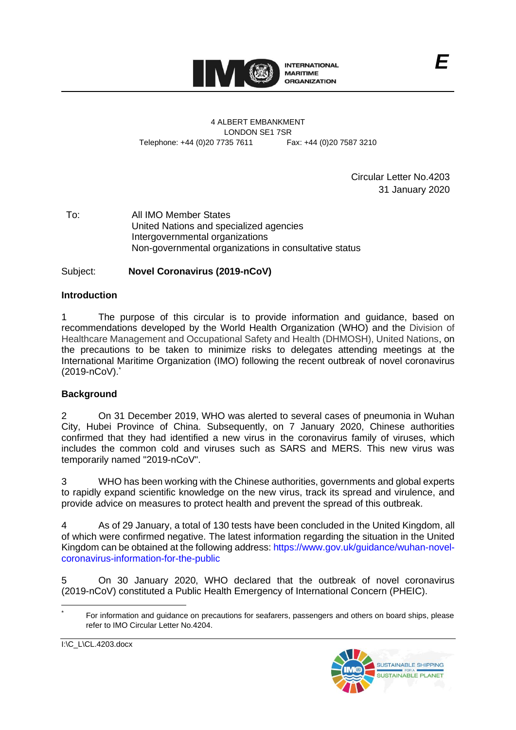

4 ALBERT EMBANKMENT LONDON SE1 7SR Telephone: +44 (0)20 7735 7611 Fax: +44 (0)20 7587 3210

> Circular Letter No.4203 31 January 2020

To: All IMO Member States United Nations and specialized agencies Intergovernmental organizations Non-governmental organizations in consultative status

# Subject: **Novel Coronavirus (2019-nCoV)**

### **Introduction**

1 The purpose of this circular is to provide information and guidance, based on recommendations developed by the World Health Organization (WHO) and the Division of Healthcare Management and Occupational Safety and Health (DHMOSH), United Nations, on the precautions to be taken to minimize risks to delegates attending meetings at the International Maritime Organization (IMO) following the recent outbreak of novel coronavirus (2019-nCoV). \*

## **Background**

2 On 31 December 2019, WHO was alerted to several cases of pneumonia in Wuhan City, Hubei Province of China. Subsequently, on 7 January 2020, Chinese authorities confirmed that they had identified a new virus in the coronavirus family of viruses, which includes the common cold and viruses such as SARS and MERS. This new virus was temporarily named "2019-nCoV".

3 WHO has been working with the Chinese authorities, governments and global experts to rapidly expand scientific knowledge on the new virus, track its spread and virulence, and provide advice on measures to protect health and prevent the spread of this outbreak.

4 As of 29 January, a total of 130 tests have been concluded in the United Kingdom, all of which were confirmed negative. The latest information regarding the situation in the United Kingdom can be obtained at the following address: [https://www.gov.uk/guidance/wuhan-novel](https://www.gov.uk/guidance/wuhan-novel-coronavirus-information-for-the-public?gclid=EAIaIQobChMImrPK9Zap5wIVzLTtCh01owL8EAAYASAAEgLrO_D_BwE)[coronavirus-information-for-the-public](https://www.gov.uk/guidance/wuhan-novel-coronavirus-information-for-the-public?gclid=EAIaIQobChMImrPK9Zap5wIVzLTtCh01owL8EAAYASAAEgLrO_D_BwE)

5 On 30 January 2020, WHO declared that the outbreak of novel coronavirus (2019-nCoV) constituted a Public Health Emergency of International Concern (PHEIC).

I:\C\_L\CL.4203.docx



For information and guidance on precautions for seafarers, passengers and others on board ships, please refer to IMO Circular Letter No.4204.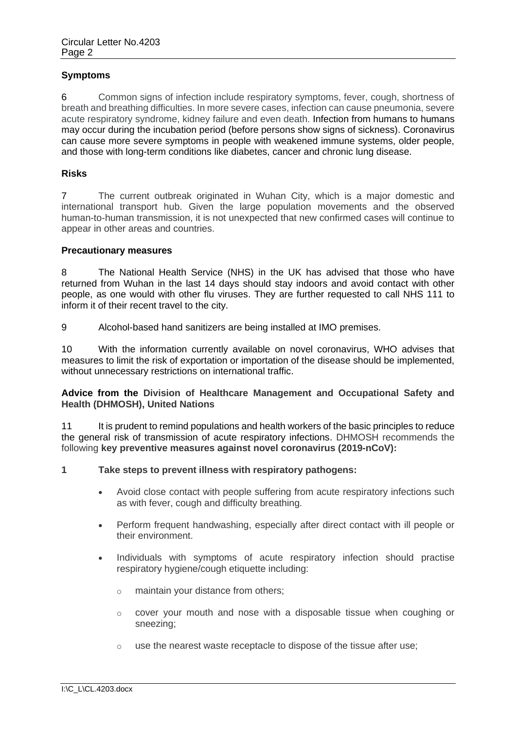## **Symptoms**

6 Common signs of infection include respiratory symptoms, fever, cough, shortness of breath and breathing difficulties. In more severe cases, infection can cause pneumonia, severe acute respiratory syndrome, kidney failure and even death. Infection from humans to humans may occur during the incubation period (before persons show signs of sickness). Coronavirus can cause more severe symptoms in people with weakened immune systems, older people, and those with long-term conditions like diabetes, cancer and chronic lung disease.

### **Risks**

7 The current outbreak originated in Wuhan City, which is a major domestic and international transport hub. Given the large population movements and the observed human-to-human transmission, it is not unexpected that new confirmed cases will continue to appear in other areas and countries.

### **Precautionary measures**

8 The National Health Service (NHS) in the UK has advised that those who have returned from Wuhan in the last 14 days should stay indoors and avoid contact with other people, as one would with other flu viruses. They are further requested to call NHS 111 to inform it of their recent travel to the city.

9 Alcohol-based hand sanitizers are being installed at IMO premises.

10 With the information currently available on novel coronavirus, WHO advises that measures to limit the risk of exportation or importation of the disease should be implemented, without unnecessary restrictions on international traffic.

**Advice from the Division of Healthcare Management and Occupational Safety and Health (DHMOSH), United Nations**

11 It is prudent to remind populations and health workers of the basic principles to reduce the general risk of transmission of acute respiratory infections. DHMOSH recommends the following **key preventive measures against novel coronavirus (2019-nCoV):**

#### **1 Take steps to prevent illness with respiratory pathogens:**

- Avoid close contact with people suffering from acute respiratory infections such as with fever, cough and difficulty breathing.
- Perform frequent handwashing, especially after direct contact with ill people or their environment.
- Individuals with symptoms of acute respiratory infection should practise respiratory hygiene/cough etiquette including:
	- o maintain your distance from others;
	- $\circ$  cover your mouth and nose with a disposable tissue when coughing or sneezing;
	- o use the nearest waste receptacle to dispose of the tissue after use;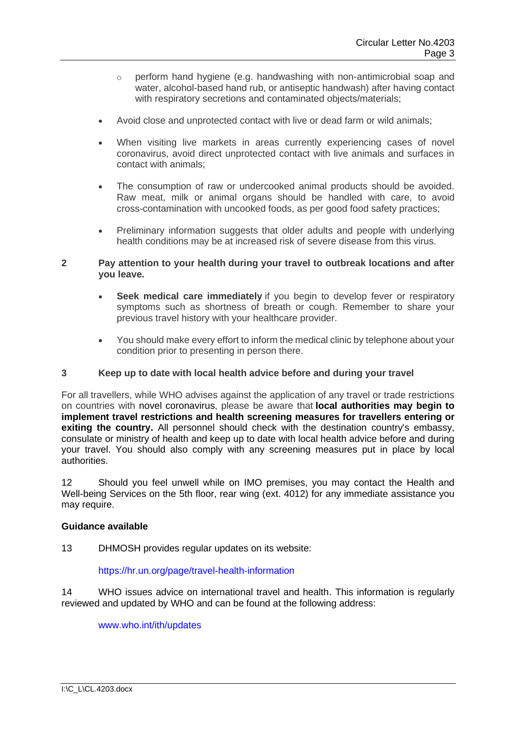- o perform hand hygiene (e.g. handwashing with non-antimicrobial soap and water, alcohol-based hand rub, or antiseptic handwash) after having contact with respiratory secretions and contaminated objects/materials;
- Avoid close and unprotected contact with live or dead farm or wild animals;
- When visiting live markets in areas currently experiencing cases of novel coronavirus, avoid direct unprotected contact with live animals and surfaces in contact with animals;
- The consumption of raw or undercooked animal products should be avoided. Raw meat, milk or animal organs should be handled with care, to avoid cross-contamination with uncooked foods, as per good food safety practices;
- Preliminary information suggests that older adults and people with underlying health conditions may be at increased risk of severe disease from this virus.

## **2 Pay attention to your health during your travel to outbreak locations and after you leave.**

- **Seek medical care immediately** if you begin to develop fever or respiratory symptoms such as shortness of breath or cough. Remember to share your previous travel history with your healthcare provider.
- You should make every effort to inform the medical clinic by telephone about your condition prior to presenting in person there.

## **3 Keep up to date with local health advice before and during your travel**

For all travellers, while WHO advises against the application of any travel or trade restrictions on countries with novel coronavirus, please be aware that **local authorities may begin to implement travel restrictions and health screening measures for travellers entering or exiting the country.** All personnel should check with the destination country's embassy, consulate or ministry of health and keep up to date with local health advice before and during your travel. You should also comply with any screening measures put in place by local authorities.

12 Should you feel unwell while on IMO premises, you may contact the Health and Well-being Services on the 5th floor, rear wing (ext. 4012) for any immediate assistance you may require.

### **Guidance available**

13 DHMOSH provides regular updates on its website:

#### <https://hr.un.org/page/travel-health-information>

14 WHO issues advice on international travel and health. This information is regularly reviewed and updated by WHO and can be found at the following address:

[www.who.int/ith/updates](http://www.who.int/ith/updates)